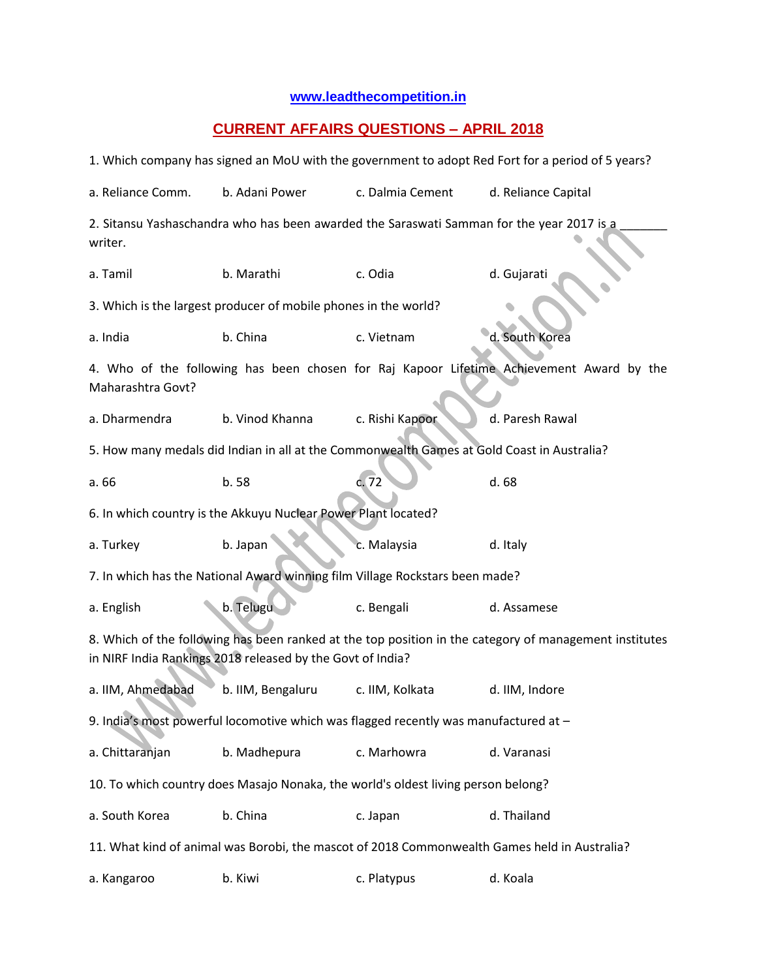## **[www.leadthecompetition.in](http://www.leadthecompetition.in/)**

## **CURRENT AFFAIRS QUESTIONS – APRIL 2018**

| 1. Which company has signed an MoU with the government to adopt Red Fort for a period of 5 years?                                                                    |                   |                  |                     |  |  |  |  |  |  |
|----------------------------------------------------------------------------------------------------------------------------------------------------------------------|-------------------|------------------|---------------------|--|--|--|--|--|--|
| a. Reliance Comm.                                                                                                                                                    | b. Adani Power    | c. Dalmia Cement | d. Reliance Capital |  |  |  |  |  |  |
| 2. Sitansu Yashaschandra who has been awarded the Saraswati Samman for the year 2017 is a<br>writer.                                                                 |                   |                  |                     |  |  |  |  |  |  |
| a. Tamil                                                                                                                                                             | b. Marathi        | c. Odia          | d. Gujarati         |  |  |  |  |  |  |
| 3. Which is the largest producer of mobile phones in the world?                                                                                                      |                   |                  |                     |  |  |  |  |  |  |
| a. India                                                                                                                                                             | b. China          | c. Vietnam       | d. South Korea      |  |  |  |  |  |  |
| 4. Who of the following has been chosen for Raj Kapoor Lifetime Achievement Award by the<br>Maharashtra Govt?                                                        |                   |                  |                     |  |  |  |  |  |  |
| a. Dharmendra                                                                                                                                                        | b. Vinod Khanna   | c. Rishi Kapoor  | d. Paresh Rawal     |  |  |  |  |  |  |
| 5. How many medals did Indian in all at the Commonwealth Games at Gold Coast in Australia?                                                                           |                   |                  |                     |  |  |  |  |  |  |
| a. 66                                                                                                                                                                | b. 58             | c.72             | d. 68               |  |  |  |  |  |  |
| 6. In which country is the Akkuyu Nuclear Power Plant located?                                                                                                       |                   |                  |                     |  |  |  |  |  |  |
| a. Turkey                                                                                                                                                            | b. Japan          | c. Malaysia      | d. Italy            |  |  |  |  |  |  |
| 7. In which has the National Award winning film Village Rockstars been made?                                                                                         |                   |                  |                     |  |  |  |  |  |  |
| a. English                                                                                                                                                           | b. Telugu         | c. Bengali       | d. Assamese         |  |  |  |  |  |  |
| 8. Which of the following has been ranked at the top position in the category of management institutes<br>in NIRF India Rankings 2018 released by the Govt of India? |                   |                  |                     |  |  |  |  |  |  |
| a. IIM, Ahmedabad                                                                                                                                                    | b. IIM, Bengaluru | c. IIM, Kolkata  | d. IIM, Indore      |  |  |  |  |  |  |
| 9. India's most powerful locomotive which was flagged recently was manufactured at -                                                                                 |                   |                  |                     |  |  |  |  |  |  |
| a. Chittaranjan                                                                                                                                                      | b. Madhepura      | c. Marhowra      | d. Varanasi         |  |  |  |  |  |  |
| 10. To which country does Masajo Nonaka, the world's oldest living person belong?                                                                                    |                   |                  |                     |  |  |  |  |  |  |
| a. South Korea                                                                                                                                                       | b. China          | c. Japan         | d. Thailand         |  |  |  |  |  |  |
| 11. What kind of animal was Borobi, the mascot of 2018 Commonwealth Games held in Australia?                                                                         |                   |                  |                     |  |  |  |  |  |  |
| a. Kangaroo                                                                                                                                                          | b. Kiwi           | c. Platypus      | d. Koala            |  |  |  |  |  |  |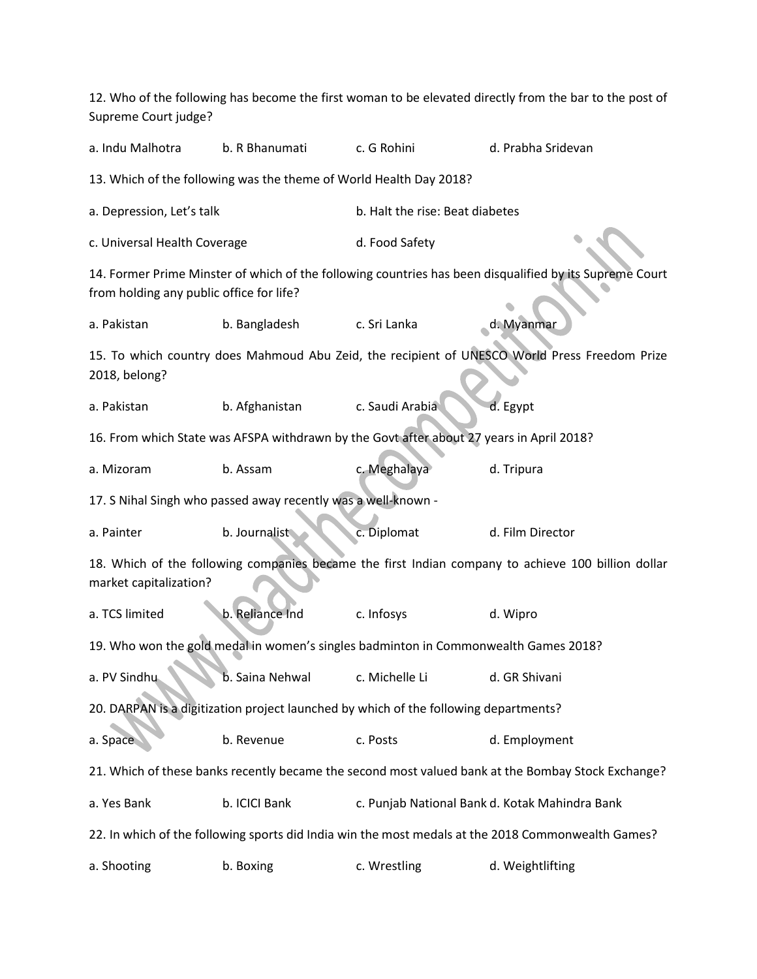12. Who of the following has become the first woman to be elevated directly from the bar to the post of Supreme Court judge?

a. Indu Malhotra b. R Bhanumati c. G Rohini d. Prabha Sridevan

13. Which of the following was the theme of World Health Day 2018?

a. Depression, Let's talk b. Halt the rise: Beat diabetes

c. Universal Health Coverage d. Food Safety

14. Former Prime Minster of which of the following countries has been disqualified by its Supreme Court from holding any public office for life?

a. Pakistan b. Bangladesh c. Sri Lanka d. Myanmar

15. To which country does Mahmoud Abu Zeid, the recipient of UNESCO World Press Freedom Prize 2018, belong?

a. Pakistan b. Afghanistan c. Saudi Arabia d. Egypt

16. From which State was AFSPA withdrawn by the Govt after about 27 years in April 2018?

a. Mizoram b. Assam c. Meghalaya d. Tripura

17. S Nihal Singh who passed away recently was a well-known -

a. Painter b. Journalist c. Diplomat d. Film Director

18. Which of the following companies became the first Indian company to achieve 100 billion dollar market capitalization?

a. TCS limited b. Reliance Ind c. Infosys d. Wipro

19. Who won the gold medal in women's singles badminton in Commonwealth Games 2018?

a. PV Sindhu b. Saina Nehwal c. Michelle Li d. GR Shivani

20. DARPAN is a digitization project launched by which of the following departments?

a. Space b. Revenue c. Posts d. Employment

21. Which of these banks recently became the second most valued bank at the Bombay Stock Exchange?

a. Yes Bank b. ICICI Bank c. Punjab National Bank d. Kotak Mahindra Bank

22. In which of the following sports did India win the most medals at the 2018 Commonwealth Games?

a. Shooting b. Boxing c. Wrestling d. Weightlifting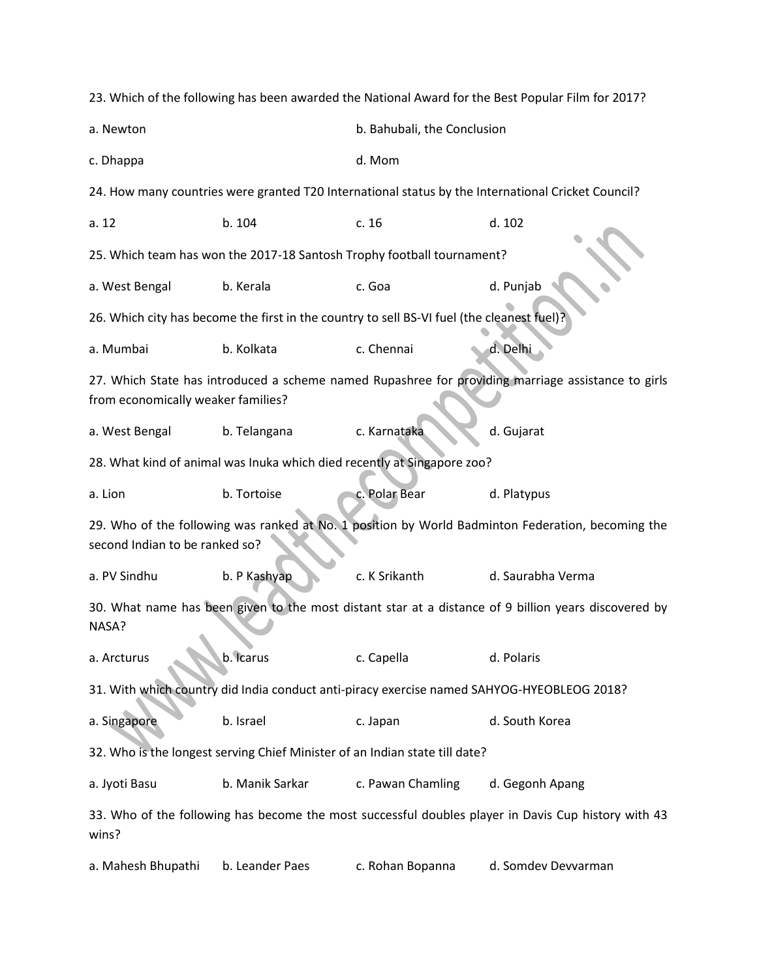|                                                                                                                                          |                 |                             | 23. Which of the following has been awarded the National Award for the Best Popular Film for 2017? |  |  |  |  |  |  |
|------------------------------------------------------------------------------------------------------------------------------------------|-----------------|-----------------------------|----------------------------------------------------------------------------------------------------|--|--|--|--|--|--|
| a. Newton                                                                                                                                |                 | b. Bahubali, the Conclusion |                                                                                                    |  |  |  |  |  |  |
| c. Dhappa                                                                                                                                |                 | d. Mom                      |                                                                                                    |  |  |  |  |  |  |
| 24. How many countries were granted T20 International status by the International Cricket Council?                                       |                 |                             |                                                                                                    |  |  |  |  |  |  |
| a. 12                                                                                                                                    | b. 104          | c. 16                       | d. 102                                                                                             |  |  |  |  |  |  |
| 25. Which team has won the 2017-18 Santosh Trophy football tournament?                                                                   |                 |                             |                                                                                                    |  |  |  |  |  |  |
| a. West Bengal                                                                                                                           | b. Kerala       | c. Goa                      | d. Punjab                                                                                          |  |  |  |  |  |  |
| 26. Which city has become the first in the country to sell BS-VI fuel (the cleanest fuel)?                                               |                 |                             |                                                                                                    |  |  |  |  |  |  |
| a. Mumbai                                                                                                                                | b. Kolkata      | c. Chennai                  | d. Delhi                                                                                           |  |  |  |  |  |  |
| 27. Which State has introduced a scheme named Rupashree for providing marriage assistance to girls<br>from economically weaker families? |                 |                             |                                                                                                    |  |  |  |  |  |  |
| a. West Bengal                                                                                                                           | b. Telangana    | c. Karnataka                | d. Gujarat                                                                                         |  |  |  |  |  |  |
| 28. What kind of animal was Inuka which died recently at Singapore zoo?                                                                  |                 |                             |                                                                                                    |  |  |  |  |  |  |
| a. Lion                                                                                                                                  | b. Tortoise     | c. Polar Bear               | d. Platypus                                                                                        |  |  |  |  |  |  |
| 29. Who of the following was ranked at No. 1 position by World Badminton Federation, becoming the<br>second Indian to be ranked so?      |                 |                             |                                                                                                    |  |  |  |  |  |  |
| a. PV Sindhu                                                                                                                             | b. P Kashyap    | c. K Srikanth               | d. Saurabha Verma                                                                                  |  |  |  |  |  |  |
| 30. What name has been given to the most distant star at a distance of 9 billion years discovered by<br>NASA?                            |                 |                             |                                                                                                    |  |  |  |  |  |  |
| a. Arcturus                                                                                                                              | b. Icarus       | c. Capella                  | d. Polaris                                                                                         |  |  |  |  |  |  |
| 31. With which country did India conduct anti-piracy exercise named SAHYOG-HYEOBLEOG 2018?                                               |                 |                             |                                                                                                    |  |  |  |  |  |  |
| a. Singapore                                                                                                                             | b. Israel       | c. Japan                    | d. South Korea                                                                                     |  |  |  |  |  |  |
| 32. Who is the longest serving Chief Minister of an Indian state till date?                                                              |                 |                             |                                                                                                    |  |  |  |  |  |  |
| a. Jyoti Basu                                                                                                                            | b. Manik Sarkar | c. Pawan Chamling           | d. Gegonh Apang                                                                                    |  |  |  |  |  |  |
| 33. Who of the following has become the most successful doubles player in Davis Cup history with 43<br>wins?                             |                 |                             |                                                                                                    |  |  |  |  |  |  |
| a. Mahesh Bhupathi                                                                                                                       | b. Leander Paes | c. Rohan Bopanna            | d. Somdev Devvarman                                                                                |  |  |  |  |  |  |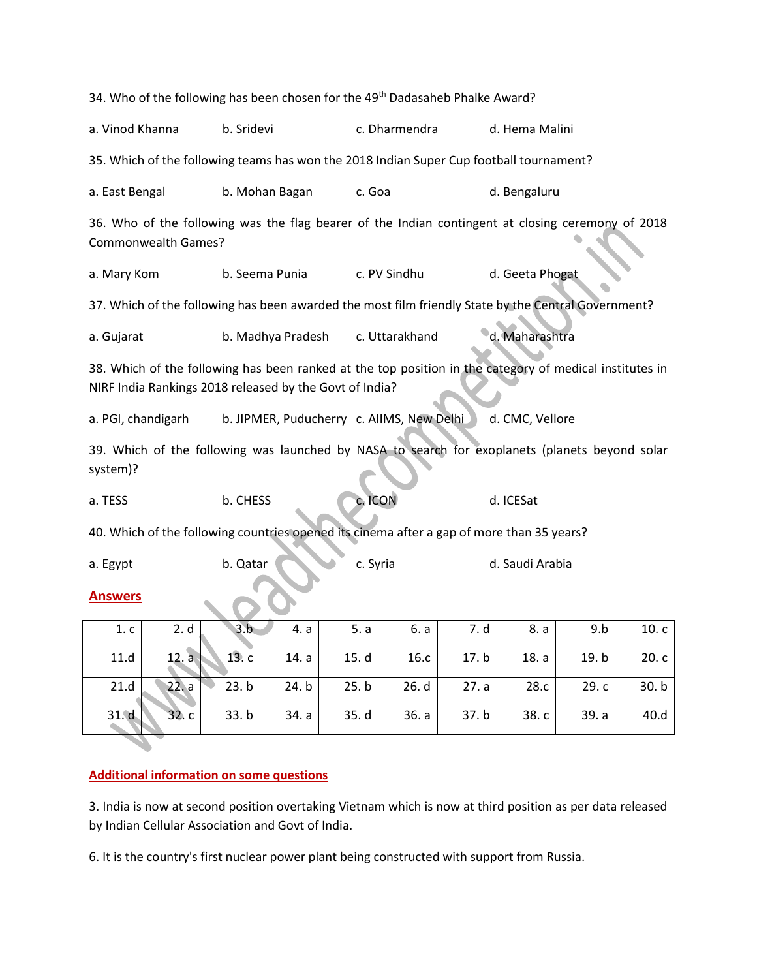| 34. Who of the following has been chosen for the 49 <sup>th</sup> Dadasaheb Phalke Award?                                                                          |                                           |          |                |       |                 |       |         |  |  |  |
|--------------------------------------------------------------------------------------------------------------------------------------------------------------------|-------------------------------------------|----------|----------------|-------|-----------------|-------|---------|--|--|--|
| a. Vinod Khanna                                                                                                                                                    | b. Sridevi                                |          | c. Dharmendra  |       | d. Hema Malini  |       |         |  |  |  |
| 35. Which of the following teams has won the 2018 Indian Super Cup football tournament?                                                                            |                                           |          |                |       |                 |       |         |  |  |  |
| a. East Bengal                                                                                                                                                     | b. Mohan Bagan                            |          | c. Goa         |       | d. Bengaluru    |       |         |  |  |  |
| 36. Who of the following was the flag bearer of the Indian contingent at closing ceremony of 2018<br><b>Commonwealth Games?</b>                                    |                                           |          |                |       |                 |       |         |  |  |  |
| a. Mary Kom                                                                                                                                                        | b. Seema Punia                            |          | c. PV Sindhu   |       | d. Geeta Phogat |       |         |  |  |  |
| 37. Which of the following has been awarded the most film friendly State by the Central Government?                                                                |                                           |          |                |       |                 |       |         |  |  |  |
| a. Gujarat                                                                                                                                                         | b. Madhya Pradesh                         |          | c. Uttarakhand |       | d. Maharashtra  |       |         |  |  |  |
| 38. Which of the following has been ranked at the top position in the category of medical institutes in<br>NIRF India Rankings 2018 released by the Govt of India? |                                           |          |                |       |                 |       |         |  |  |  |
| a. PGI, chandigarh                                                                                                                                                 | b. JIPMER, Puducherry c. AllMS, New Delhi |          |                |       | d. CMC, Vellore |       |         |  |  |  |
| 39. Which of the following was launched by NASA to search for exoplanets (planets beyond solar<br>system)?                                                         |                                           |          |                |       |                 |       |         |  |  |  |
| a. TESS                                                                                                                                                            | b. CHESS                                  | c. ICON  |                |       | d. ICESat       |       |         |  |  |  |
| 40. Which of the following countries opened its cinema after a gap of more than 35 years?                                                                          |                                           |          |                |       |                 |       |         |  |  |  |
| a. Egypt                                                                                                                                                           | b. Qatar                                  | c. Syria |                |       | d. Saudi Arabia |       |         |  |  |  |
| <b>Answers</b>                                                                                                                                                     |                                           |          |                |       |                 |       |         |  |  |  |
| 2. d<br>1 <sub>c</sub>                                                                                                                                             | 3.b<br>4. a                               | 5. a     | 6. a           | 7. d  | 8. a            | 9.b   | 10. c l |  |  |  |
| 11.d<br>12. a                                                                                                                                                      | 13.c<br>14. a                             | 15. d    | 16.c           | 17. b | 18. a           | 19.b  | 20.c    |  |  |  |
| 21.d<br>22. a                                                                                                                                                      | 23.b<br>24. b                             | 25. b    | 26. d          | 27. a | 28.c            | 29. c | 30. b   |  |  |  |
| 31.d<br>32.c                                                                                                                                                       | 33.b<br>34. a                             | 35. d    | 36. a          | 37.b  | 38. c           | 39. a | 40.d    |  |  |  |
|                                                                                                                                                                    |                                           |          |                |       |                 |       |         |  |  |  |

## **Additional information on some questions**

3. India is now at second position overtaking Vietnam which is now at third position as per data released by Indian Cellular Association and Govt of India.

6. It is the country's first nuclear power plant being constructed with support from Russia.